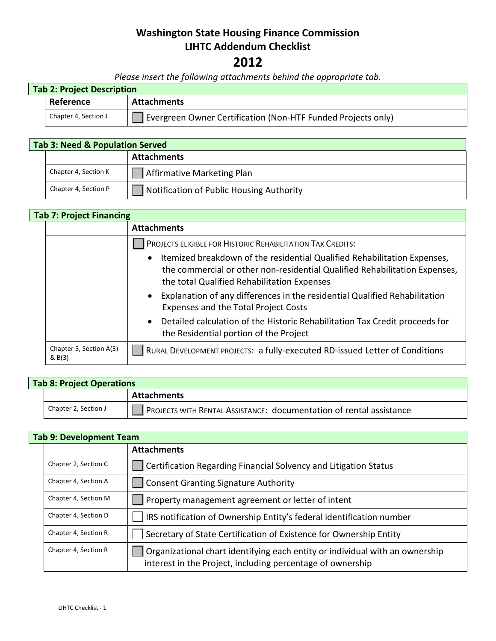# **Washington State Housing Finance Commission LIHTC Addendum Checklist**

### **2012**

*Please insert the following attachments behind the appropriate tab.*

| <b>Tab 2: Project Description</b> |                      |                                                              |  |  |
|-----------------------------------|----------------------|--------------------------------------------------------------|--|--|
|                                   | Reference            | Attachments                                                  |  |  |
|                                   | Chapter 4, Section J | Evergreen Owner Certification (Non-HTF Funded Projects only) |  |  |

## **Tab 3: Need & Population Served Attachments** Chapter 4, Section K  $\Box$  Affirmative Marketing Plan Chapter 4, Section P |  $\Box$  Notification of Public Housing Authority

#### **Tab 7: Project Financing**

|  |                                   | <b>Attachments</b>                                                                                                                                                                                      |
|--|-----------------------------------|---------------------------------------------------------------------------------------------------------------------------------------------------------------------------------------------------------|
|  |                                   | PROJECTS ELIGIBLE FOR HISTORIC REHABILITATION TAX CREDITS:                                                                                                                                              |
|  |                                   | • Itemized breakdown of the residential Qualified Rehabilitation Expenses,<br>the commercial or other non-residential Qualified Rehabilitation Expenses,<br>the total Qualified Rehabilitation Expenses |
|  |                                   | • Explanation of any differences in the residential Qualified Rehabilitation<br>Expenses and the Total Project Costs                                                                                    |
|  |                                   | • Detailed calculation of the Historic Rehabilitation Tax Credit proceeds for<br>the Residential portion of the Project                                                                                 |
|  | Chapter 5, Section A(3)<br>& B(3) | RURAL DEVELOPMENT PROJECTS: a fully-executed RD-issued Letter of Conditions                                                                                                                             |

| Tab 8: Project Operations |                      |                                                                     |
|---------------------------|----------------------|---------------------------------------------------------------------|
|                           |                      | <b>Attachments</b>                                                  |
|                           | Chapter 2, Section J | PROJECTS WITH RENTAL ASSISTANCE: documentation of rental assistance |

#### **Tab 9: Development Team**

|                      | <b>Attachments</b>                                                                                                                         |
|----------------------|--------------------------------------------------------------------------------------------------------------------------------------------|
| Chapter 2, Section C | Certification Regarding Financial Solvency and Litigation Status                                                                           |
| Chapter 4, Section A | <b>Consent Granting Signature Authority</b>                                                                                                |
| Chapter 4, Section M | Property management agreement or letter of intent                                                                                          |
| Chapter 4, Section D | IRS notification of Ownership Entity's federal identification number                                                                       |
| Chapter 4, Section R | Secretary of State Certification of Existence for Ownership Entity                                                                         |
| Chapter 4, Section R | Organizational chart identifying each entity or individual with an ownership<br>interest in the Project, including percentage of ownership |